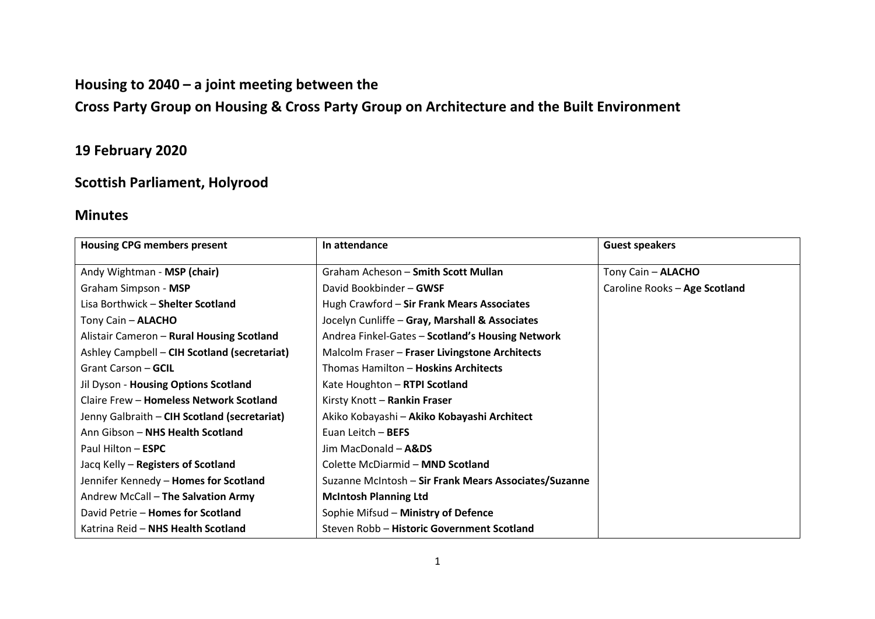## **Housing to 2040 – a joint meeting between the**

# **Cross Party Group on Housing & Cross Party Group on Architecture and the Built Environment**

# **19 February 2020**

## **Scottish Parliament, Holyrood**

### **Minutes**

| <b>Housing CPG members present</b>           | In attendance                                         | <b>Guest speakers</b>         |
|----------------------------------------------|-------------------------------------------------------|-------------------------------|
| Andy Wightman - MSP (chair)                  | Graham Acheson - Smith Scott Mullan                   | Tony Cain - ALACHO            |
| Graham Simpson - MSP                         | David Bookbinder - GWSF                               | Caroline Rooks - Age Scotland |
| Lisa Borthwick - Shelter Scotland            | Hugh Crawford - Sir Frank Mears Associates            |                               |
| Tony Cain - <b>ALACHO</b>                    | Jocelyn Cunliffe - Gray, Marshall & Associates        |                               |
| Alistair Cameron - Rural Housing Scotland    | Andrea Finkel-Gates - Scotland's Housing Network      |                               |
| Ashley Campbell - CIH Scotland (secretariat) | Malcolm Fraser - Fraser Livingstone Architects        |                               |
| Grant Carson - GCIL                          | Thomas Hamilton - Hoskins Architects                  |                               |
| Jil Dyson - Housing Options Scotland         | Kate Houghton - RTPI Scotland                         |                               |
| Claire Frew - Homeless Network Scotland      | Kirsty Knott - Rankin Fraser                          |                               |
| Jenny Galbraith – CIH Scotland (secretariat) | Akiko Kobayashi - Akiko Kobayashi Architect           |                               |
| Ann Gibson - NHS Health Scotland             | Euan Leitch - BEFS                                    |                               |
| Paul Hilton - ESPC                           | Jim MacDonald - A&DS                                  |                               |
| Jacq Kelly – Registers of Scotland           | Colette McDiarmid - MND Scotland                      |                               |
| Jennifer Kennedy - <b>Homes for Scotland</b> | Suzanne McIntosh - Sir Frank Mears Associates/Suzanne |                               |
| Andrew McCall - The Salvation Army           | <b>McIntosh Planning Ltd</b>                          |                               |
| David Petrie - Homes for Scotland            | Sophie Mifsud - Ministry of Defence                   |                               |
| Katrina Reid - NHS Health Scotland           | Steven Robb - Historic Government Scotland            |                               |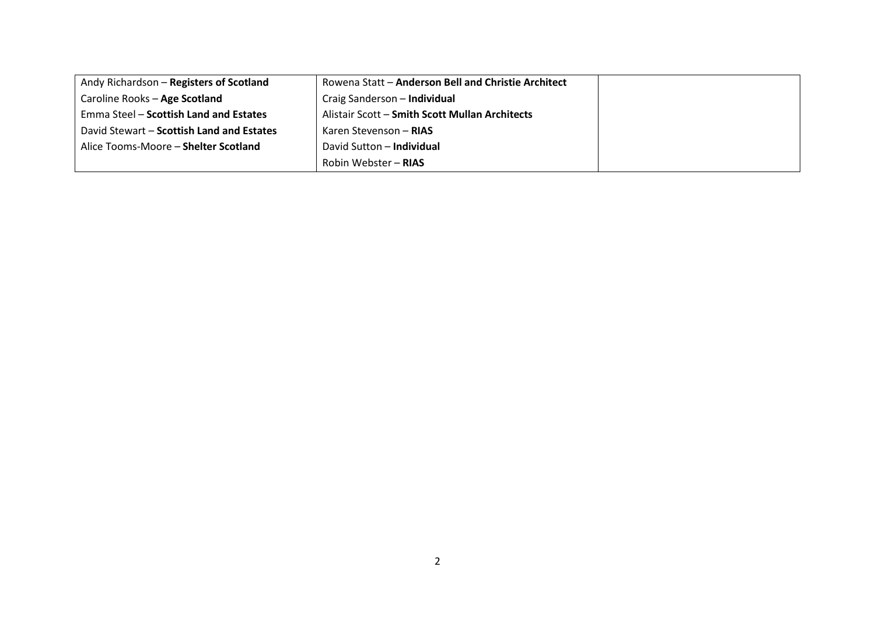| Andy Richardson - Registers of Scotland   | Rowena Statt - Anderson Bell and Christie Architect |  |
|-------------------------------------------|-----------------------------------------------------|--|
| Caroline Rooks - Age Scotland             | Craig Sanderson - Individual                        |  |
| Emma Steel – Scottish Land and Estates    | Alistair Scott - Smith Scott Mullan Architects      |  |
| David Stewart – Scottish Land and Estates | Karen Stevenson – <b>RIAS</b>                       |  |
| Alice Tooms-Moore - Shelter Scotland      | David Sutton - Individual                           |  |
|                                           | Robin Webster - RIAS                                |  |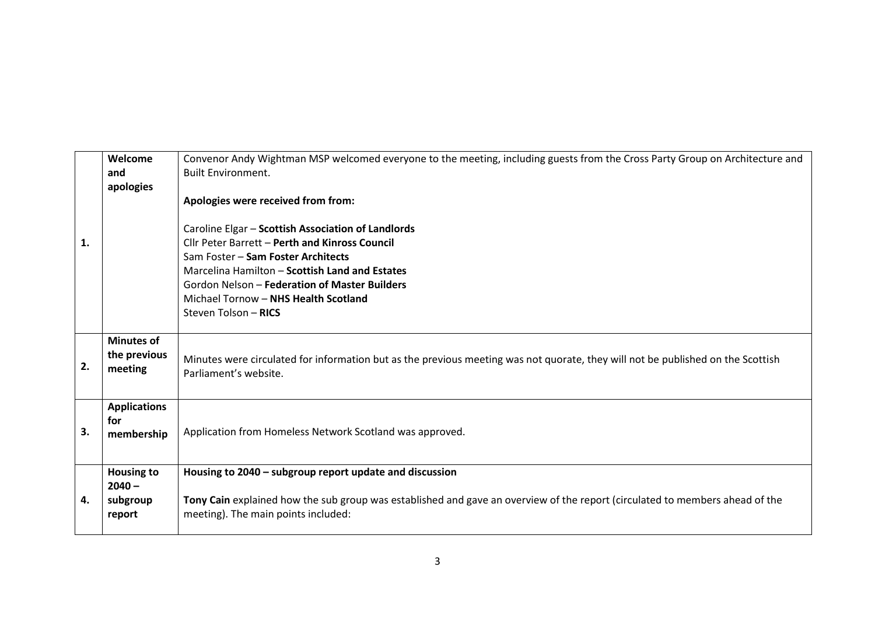| 1. | Welcome<br>and<br>apologies                         | Convenor Andy Wightman MSP welcomed everyone to the meeting, including guests from the Cross Party Group on Architecture and<br><b>Built Environment.</b><br>Apologies were received from from:<br>Caroline Elgar - Scottish Association of Landlords<br>Cllr Peter Barrett - Perth and Kinross Council<br>Sam Foster - Sam Foster Architects<br>Marcelina Hamilton - Scottish Land and Estates<br>Gordon Nelson - Federation of Master Builders<br>Michael Tornow - NHS Health Scotland<br>Steven Tolson - RICS |
|----|-----------------------------------------------------|------------------------------------------------------------------------------------------------------------------------------------------------------------------------------------------------------------------------------------------------------------------------------------------------------------------------------------------------------------------------------------------------------------------------------------------------------------------------------------------------------------------|
| 2. | <b>Minutes of</b><br>the previous<br>meeting        | Minutes were circulated for information but as the previous meeting was not quorate, they will not be published on the Scottish<br>Parliament's website.                                                                                                                                                                                                                                                                                                                                                         |
| 3. | <b>Applications</b><br>for<br>membership            | Application from Homeless Network Scotland was approved.                                                                                                                                                                                                                                                                                                                                                                                                                                                         |
| 4. | <b>Housing to</b><br>$2040 -$<br>subgroup<br>report | Housing to 2040 - subgroup report update and discussion<br>Tony Cain explained how the sub group was established and gave an overview of the report (circulated to members ahead of the<br>meeting). The main points included:                                                                                                                                                                                                                                                                                   |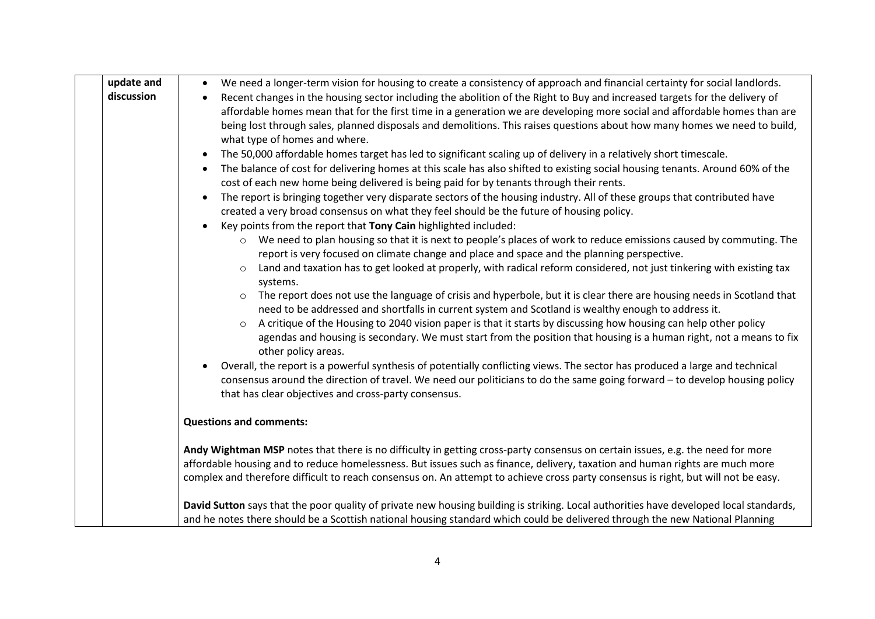| update and | We need a longer-term vision for housing to create a consistency of approach and financial certainty for social landlords.                                                                                                                                                                                        |  |
|------------|-------------------------------------------------------------------------------------------------------------------------------------------------------------------------------------------------------------------------------------------------------------------------------------------------------------------|--|
| discussion | Recent changes in the housing sector including the abolition of the Right to Buy and increased targets for the delivery of                                                                                                                                                                                        |  |
|            | affordable homes mean that for the first time in a generation we are developing more social and affordable homes than are                                                                                                                                                                                         |  |
|            | being lost through sales, planned disposals and demolitions. This raises questions about how many homes we need to build,                                                                                                                                                                                         |  |
|            | what type of homes and where.                                                                                                                                                                                                                                                                                     |  |
|            | The 50,000 affordable homes target has led to significant scaling up of delivery in a relatively short timescale.<br>$\bullet$                                                                                                                                                                                    |  |
|            | The balance of cost for delivering homes at this scale has also shifted to existing social housing tenants. Around 60% of the<br>cost of each new home being delivered is being paid for by tenants through their rents.                                                                                          |  |
|            | The report is bringing together very disparate sectors of the housing industry. All of these groups that contributed have<br>created a very broad consensus on what they feel should be the future of housing policy.                                                                                             |  |
|            | Key points from the report that Tony Cain highlighted included:                                                                                                                                                                                                                                                   |  |
|            | We need to plan housing so that it is next to people's places of work to reduce emissions caused by commuting. The<br>$\circ$<br>report is very focused on climate change and place and space and the planning perspective.                                                                                       |  |
|            | Land and taxation has to get looked at properly, with radical reform considered, not just tinkering with existing tax<br>$\circ$<br>systems.                                                                                                                                                                      |  |
|            | The report does not use the language of crisis and hyperbole, but it is clear there are housing needs in Scotland that<br>need to be addressed and shortfalls in current system and Scotland is wealthy enough to address it.                                                                                     |  |
|            | A critique of the Housing to 2040 vision paper is that it starts by discussing how housing can help other policy<br>$\circ$                                                                                                                                                                                       |  |
|            | agendas and housing is secondary. We must start from the position that housing is a human right, not a means to fix<br>other policy areas.                                                                                                                                                                        |  |
|            | Overall, the report is a powerful synthesis of potentially conflicting views. The sector has produced a large and technical<br>consensus around the direction of travel. We need our politicians to do the same going forward - to develop housing policy<br>that has clear objectives and cross-party consensus. |  |
|            | <b>Questions and comments:</b>                                                                                                                                                                                                                                                                                    |  |
|            | Andy Wightman MSP notes that there is no difficulty in getting cross-party consensus on certain issues, e.g. the need for more                                                                                                                                                                                    |  |
|            | affordable housing and to reduce homelessness. But issues such as finance, delivery, taxation and human rights are much more                                                                                                                                                                                      |  |
|            | complex and therefore difficult to reach consensus on. An attempt to achieve cross party consensus is right, but will not be easy.                                                                                                                                                                                |  |
|            | David Sutton says that the poor quality of private new housing building is striking. Local authorities have developed local standards,                                                                                                                                                                            |  |
|            | and he notes there should be a Scottish national housing standard which could be delivered through the new National Planning                                                                                                                                                                                      |  |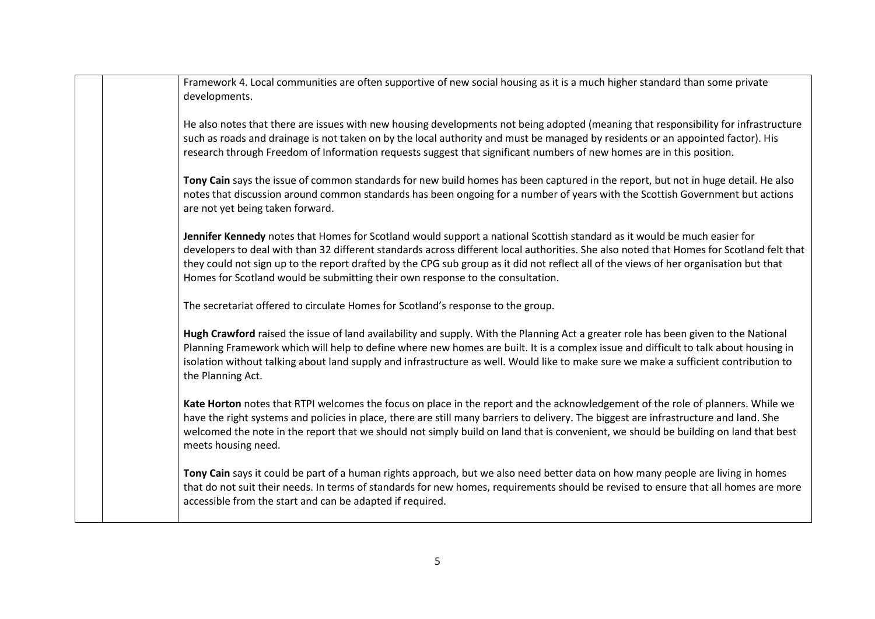| Framework 4. Local communities are often supportive of new social housing as it is a much higher standard than some private<br>developments.                                                                                                                                                                                                                                                                                                                                                    |
|-------------------------------------------------------------------------------------------------------------------------------------------------------------------------------------------------------------------------------------------------------------------------------------------------------------------------------------------------------------------------------------------------------------------------------------------------------------------------------------------------|
| He also notes that there are issues with new housing developments not being adopted (meaning that responsibility for infrastructure<br>such as roads and drainage is not taken on by the local authority and must be managed by residents or an appointed factor). His<br>research through Freedom of Information requests suggest that significant numbers of new homes are in this position.                                                                                                  |
| Tony Cain says the issue of common standards for new build homes has been captured in the report, but not in huge detail. He also<br>notes that discussion around common standards has been ongoing for a number of years with the Scottish Government but actions<br>are not yet being taken forward.                                                                                                                                                                                          |
| Jennifer Kennedy notes that Homes for Scotland would support a national Scottish standard as it would be much easier for<br>developers to deal with than 32 different standards across different local authorities. She also noted that Homes for Scotland felt that<br>they could not sign up to the report drafted by the CPG sub group as it did not reflect all of the views of her organisation but that<br>Homes for Scotland would be submitting their own response to the consultation. |
| The secretariat offered to circulate Homes for Scotland's response to the group.                                                                                                                                                                                                                                                                                                                                                                                                                |
| Hugh Crawford raised the issue of land availability and supply. With the Planning Act a greater role has been given to the National<br>Planning Framework which will help to define where new homes are built. It is a complex issue and difficult to talk about housing in<br>isolation without talking about land supply and infrastructure as well. Would like to make sure we make a sufficient contribution to<br>the Planning Act.                                                        |
| Kate Horton notes that RTPI welcomes the focus on place in the report and the acknowledgement of the role of planners. While we<br>have the right systems and policies in place, there are still many barriers to delivery. The biggest are infrastructure and land. She<br>welcomed the note in the report that we should not simply build on land that is convenient, we should be building on land that best<br>meets housing need.                                                          |
| Tony Cain says it could be part of a human rights approach, but we also need better data on how many people are living in homes<br>that do not suit their needs. In terms of standards for new homes, requirements should be revised to ensure that all homes are more<br>accessible from the start and can be adapted if required.                                                                                                                                                             |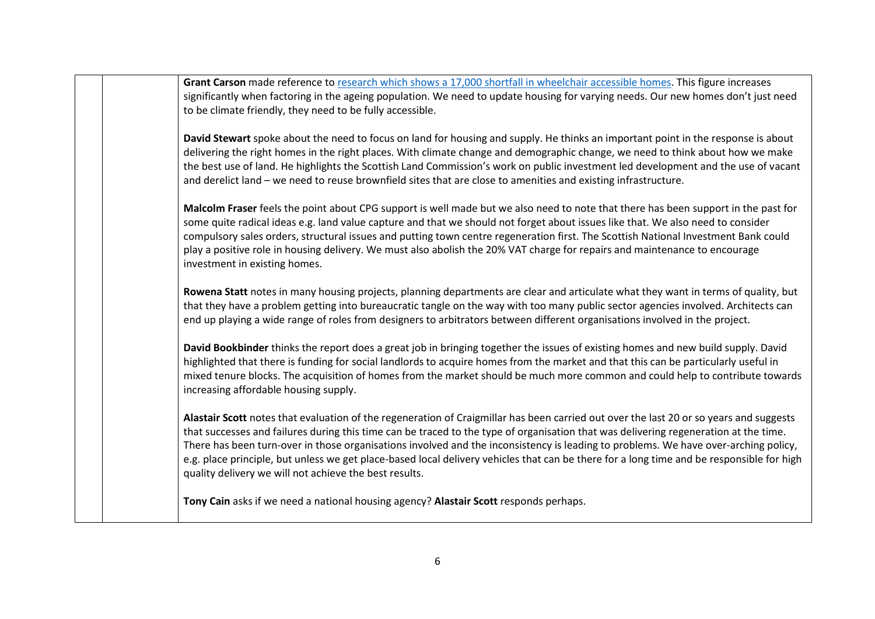**Grant Carson** made reference t[o research which shows a 17,000 shortfall in wheelchair accessible homes.](https://www.horizonhousing.org/media/1522/still-minding-the-step-full-report.pdf) This figure increases significantly when factoring in the ageing population. We need to update housing for varying needs. Our new homes don't just need to be climate friendly, they need to be fully accessible.

**David Stewart** spoke about the need to focus on land for housing and supply. He thinks an important point in the response is about delivering the right homes in the right places. With climate change and demographic change, we need to think about how we make the best use of land. He highlights the Scottish Land Commission's work on public investment led development and the use of vacant and derelict land – we need to reuse brownfield sites that are close to amenities and existing infrastructure.

**Malcolm Fraser** feels the point about CPG support is well made but we also need to note that there has been support in the past for some quite radical ideas e.g. land value capture and that we should not forget about issues like that. We also need to consider compulsory sales orders, structural issues and putting town centre regeneration first. The Scottish National Investment Bank could play a positive role in housing delivery. We must also abolish the 20% VAT charge for repairs and maintenance to encourage investment in existing homes.

**Rowena Statt** notes in many housing projects, planning departments are clear and articulate what they want in terms of quality, but that they have a problem getting into bureaucratic tangle on the way with too many public sector agencies involved. Architects can end up playing a wide range of roles from designers to arbitrators between different organisations involved in the project.

**David Bookbinder** thinks the report does a great job in bringing together the issues of existing homes and new build supply. David highlighted that there is funding for social landlords to acquire homes from the market and that this can be particularly useful in mixed tenure blocks. The acquisition of homes from the market should be much more common and could help to contribute towards increasing affordable housing supply.

**Alastair Scott** notes that evaluation of the regeneration of Craigmillar has been carried out over the last 20 or so years and suggests that successes and failures during this time can be traced to the type of organisation that was delivering regeneration at the time. There has been turn-over in those organisations involved and the inconsistency is leading to problems. We have over-arching policy, e.g. place principle, but unless we get place-based local delivery vehicles that can be there for a long time and be responsible for high quality delivery we will not achieve the best results.

**Tony Cain** asks if we need a national housing agency? **Alastair Scott** responds perhaps.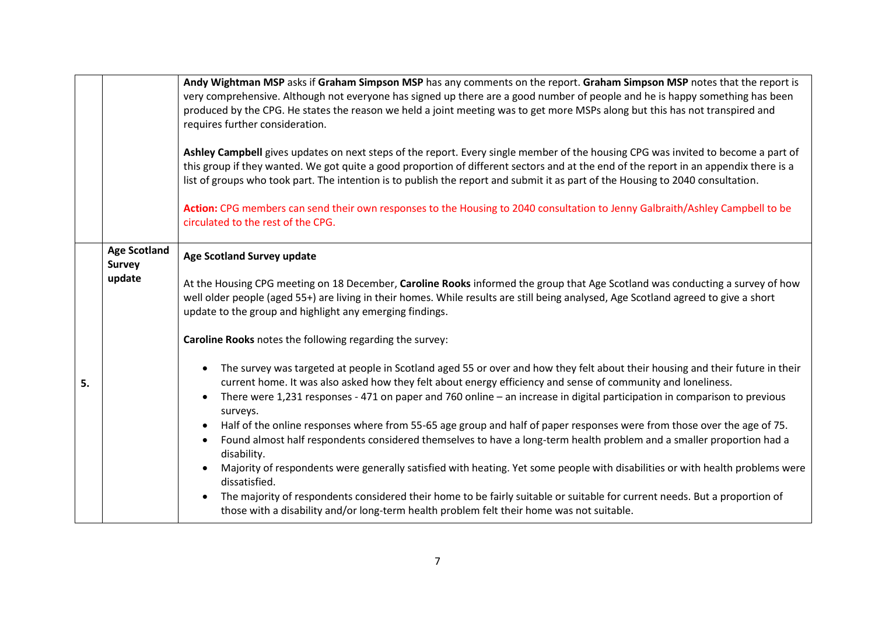|    |                                                | Andy Wightman MSP asks if Graham Simpson MSP has any comments on the report. Graham Simpson MSP notes that the report is<br>very comprehensive. Although not everyone has signed up there are a good number of people and he is happy something has been<br>produced by the CPG. He states the reason we held a joint meeting was to get more MSPs along but this has not transpired and<br>requires further consideration.<br>Ashley Campbell gives updates on next steps of the report. Every single member of the housing CPG was invited to become a part of<br>this group if they wanted. We got quite a good proportion of different sectors and at the end of the report in an appendix there is a<br>list of groups who took part. The intention is to publish the report and submit it as part of the Housing to 2040 consultation.<br>Action: CPG members can send their own responses to the Housing to 2040 consultation to Jenny Galbraith/Ashley Campbell to be<br>circulated to the rest of the CPG.                                                                                                                                                                                                                                                                                                                                                                                                                                                                      |
|----|------------------------------------------------|------------------------------------------------------------------------------------------------------------------------------------------------------------------------------------------------------------------------------------------------------------------------------------------------------------------------------------------------------------------------------------------------------------------------------------------------------------------------------------------------------------------------------------------------------------------------------------------------------------------------------------------------------------------------------------------------------------------------------------------------------------------------------------------------------------------------------------------------------------------------------------------------------------------------------------------------------------------------------------------------------------------------------------------------------------------------------------------------------------------------------------------------------------------------------------------------------------------------------------------------------------------------------------------------------------------------------------------------------------------------------------------------------------------------------------------------------------------------------------------|
| 5. | <b>Age Scotland</b><br><b>Survey</b><br>update | <b>Age Scotland Survey update</b><br>At the Housing CPG meeting on 18 December, Caroline Rooks informed the group that Age Scotland was conducting a survey of how<br>well older people (aged 55+) are living in their homes. While results are still being analysed, Age Scotland agreed to give a short<br>update to the group and highlight any emerging findings.<br>Caroline Rooks notes the following regarding the survey:<br>The survey was targeted at people in Scotland aged 55 or over and how they felt about their housing and their future in their<br>current home. It was also asked how they felt about energy efficiency and sense of community and loneliness.<br>There were 1,231 responses - 471 on paper and 760 online - an increase in digital participation in comparison to previous<br>$\bullet$<br>surveys.<br>Half of the online responses where from 55-65 age group and half of paper responses were from those over the age of 75.<br>Found almost half respondents considered themselves to have a long-term health problem and a smaller proportion had a<br>disability.<br>Majority of respondents were generally satisfied with heating. Yet some people with disabilities or with health problems were<br>dissatisfied.<br>The majority of respondents considered their home to be fairly suitable or suitable for current needs. But a proportion of<br>those with a disability and/or long-term health problem felt their home was not suitable. |